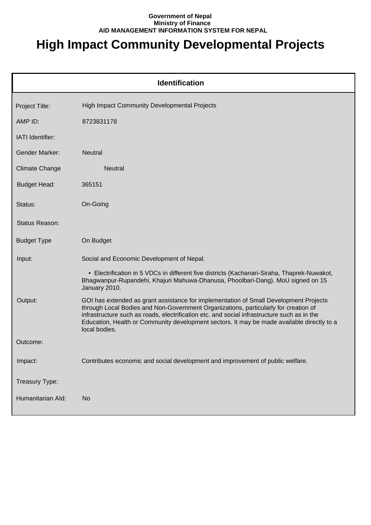## **Government of Nepal Ministry of Finance AID MANAGEMENT INFORMATION SYSTEM FOR NEPAL**

## **High Impact Community Developmental Projects**

| <b>Identification</b> |                                                                                                                                                                                                                                                                                                                                                                                            |  |
|-----------------------|--------------------------------------------------------------------------------------------------------------------------------------------------------------------------------------------------------------------------------------------------------------------------------------------------------------------------------------------------------------------------------------------|--|
| Project Title:        | <b>High Impact Community Developmental Projects</b>                                                                                                                                                                                                                                                                                                                                        |  |
| AMP ID:               | 8723831178                                                                                                                                                                                                                                                                                                                                                                                 |  |
| IATI Identifier:      |                                                                                                                                                                                                                                                                                                                                                                                            |  |
| Gender Marker:        | <b>Neutral</b>                                                                                                                                                                                                                                                                                                                                                                             |  |
| <b>Climate Change</b> | <b>Neutral</b>                                                                                                                                                                                                                                                                                                                                                                             |  |
| <b>Budget Head:</b>   | 365151                                                                                                                                                                                                                                                                                                                                                                                     |  |
| Status:               | On-Going                                                                                                                                                                                                                                                                                                                                                                                   |  |
| Status Reason:        |                                                                                                                                                                                                                                                                                                                                                                                            |  |
| <b>Budget Type</b>    | On Budget                                                                                                                                                                                                                                                                                                                                                                                  |  |
| Input:                | Social and Economic Development of Nepal.                                                                                                                                                                                                                                                                                                                                                  |  |
|                       | • Electrification in 5 VDCs in different five districts (Kachanari-Siraha, Thaprek-Nuwakot,<br>Bhagwanpur-Rupandehi, Khajuri Mahuwa-Dhanusa, Phoolbari-Dang). MoU signed on 15<br>January 2010.                                                                                                                                                                                            |  |
| Output:               | GOI has extended as grant assistance for implementation of Small Development Projects<br>through Local Bodies and Non-Government Organizations, particularly for creation of<br>infrastructure such as roads, electrification etc. and social infrastructure such as in the<br>Education, Health or Community development sectors. It may be made available directly to a<br>local bodies. |  |
| Outcome:              |                                                                                                                                                                                                                                                                                                                                                                                            |  |
| Impact:               | Contributes economic and social development and improvement of public welfare.                                                                                                                                                                                                                                                                                                             |  |
| Treasury Type:        |                                                                                                                                                                                                                                                                                                                                                                                            |  |
| Humanitarian Ald:     | <b>No</b>                                                                                                                                                                                                                                                                                                                                                                                  |  |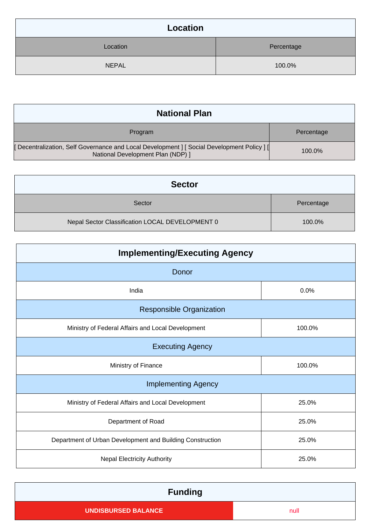| Location     |            |
|--------------|------------|
| Location     | Percentage |
| <b>NEPAL</b> | 100.0%     |

| <b>National Plan</b>                                                                                                           |            |  |
|--------------------------------------------------------------------------------------------------------------------------------|------------|--|
| Program                                                                                                                        | Percentage |  |
| [Decentralization, Self Governance and Local Development ] [Social Development Policy ] [<br>National Development Plan (NDP) ] | 100.0%     |  |

| <b>Sector</b>                                   |            |
|-------------------------------------------------|------------|
| Sector                                          | Percentage |
| Nepal Sector Classification LOCAL DEVELOPMENT 0 | 100.0%     |

| <b>Implementing/Executing Agency</b>                      |        |  |
|-----------------------------------------------------------|--------|--|
| Donor                                                     |        |  |
| India                                                     | 0.0%   |  |
| <b>Responsible Organization</b>                           |        |  |
| Ministry of Federal Affairs and Local Development         | 100.0% |  |
| <b>Executing Agency</b>                                   |        |  |
| Ministry of Finance                                       | 100.0% |  |
| <b>Implementing Agency</b>                                |        |  |
| Ministry of Federal Affairs and Local Development         | 25.0%  |  |
| Department of Road                                        | 25.0%  |  |
| Department of Urban Development and Building Construction | 25.0%  |  |
| <b>Nepal Electricity Authority</b>                        | 25.0%  |  |

| <b>Funding</b>             |      |
|----------------------------|------|
| <b>UNDISBURSED BALANCE</b> | null |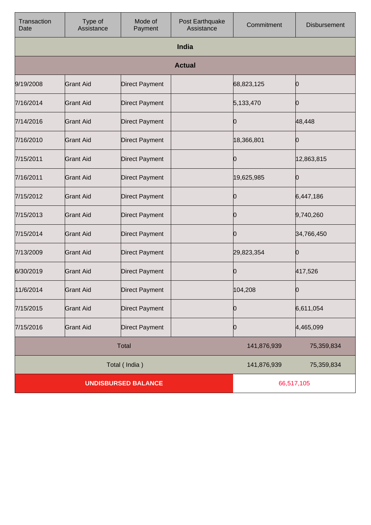| Transaction<br>Date        | Type of<br>Assistance | Mode of<br>Payment    | Post Earthquake<br>Assistance | Commitment  | Disbursement |
|----------------------------|-----------------------|-----------------------|-------------------------------|-------------|--------------|
|                            |                       |                       | India                         |             |              |
|                            |                       |                       | <b>Actual</b>                 |             |              |
| 9/19/2008                  | <b>Grant Aid</b>      | <b>Direct Payment</b> |                               | 68,823,125  | 10           |
| 7/16/2014                  | <b>Grant Aid</b>      | <b>Direct Payment</b> |                               | 5,133,470   | 10           |
| 7/14/2016                  | <b>Grant Aid</b>      | <b>Direct Payment</b> |                               | 10          | 48,448       |
| 7/16/2010                  | <b>Grant Aid</b>      | <b>Direct Payment</b> |                               | 18,366,801  | 10           |
| 7/15/2011                  | <b>Grant Aid</b>      | <b>Direct Payment</b> |                               | 10          | 12,863,815   |
| 7/16/2011                  | <b>Grant Aid</b>      | <b>Direct Payment</b> |                               | 19,625,985  | 10           |
| 7/15/2012                  | <b>Grant Aid</b>      | <b>Direct Payment</b> |                               | 10          | 6,447,186    |
| 7/15/2013                  | <b>Grant Aid</b>      | <b>Direct Payment</b> |                               | 10          | 9,740,260    |
| 7/15/2014                  | <b>Grant Aid</b>      | <b>Direct Payment</b> |                               | 10          | 34,766,450   |
| 7/13/2009                  | <b>Grant Aid</b>      | <b>Direct Payment</b> |                               | 29,823,354  | Ю            |
| 6/30/2019                  | <b>Grant Aid</b>      | <b>Direct Payment</b> |                               | 10          | 417,526      |
| 11/6/2014                  | Grant Aid             | <b>Direct Payment</b> |                               | 104, 208    | Ю            |
| 7/15/2015                  | <b>Grant Aid</b>      | <b>Direct Payment</b> |                               | 0           | 6,611,054    |
| 7/15/2016                  | <b>Grant Aid</b>      | <b>Direct Payment</b> |                               | 0           | 4,465,099    |
|                            |                       | <b>Total</b>          |                               | 141,876,939 | 75,359,834   |
|                            |                       | Total (India)         |                               | 141,876,939 | 75,359,834   |
| <b>UNDISBURSED BALANCE</b> |                       |                       |                               | 66,517,105  |              |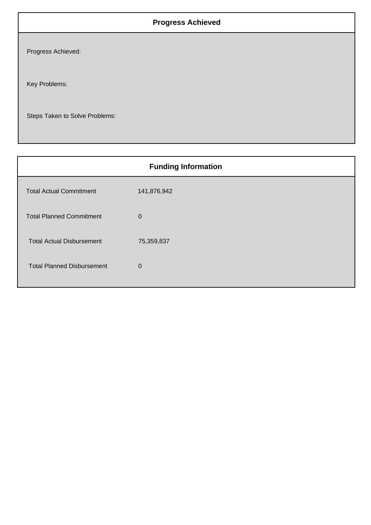## **Progress Achieved**

Progress Achieved:

Key Problems:

Steps Taken to Solve Problems:

| <b>Funding Information</b>        |             |  |
|-----------------------------------|-------------|--|
| <b>Total Actual Commitment</b>    | 141,876,942 |  |
| <b>Total Planned Commitment</b>   | $\mathbf 0$ |  |
| <b>Total Actual Disbursement</b>  | 75,359,837  |  |
| <b>Total Planned Disbursement</b> | $\mathbf 0$ |  |
|                                   |             |  |